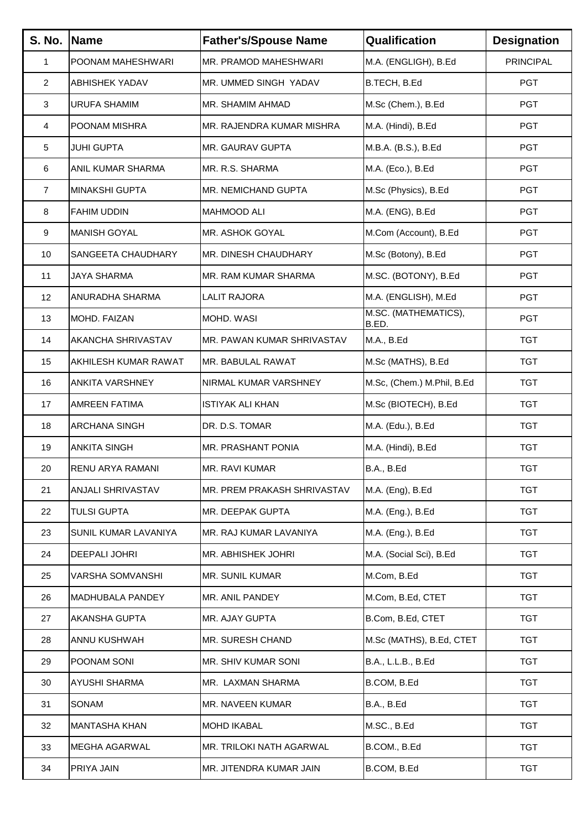| <b>S. No.</b>  | Name                     | <b>Father's/Spouse Name</b> | Qualification                 | <b>Designation</b> |
|----------------|--------------------------|-----------------------------|-------------------------------|--------------------|
| $\mathbf{1}$   | POONAM MAHESHWARI        | MR. PRAMOD MAHESHWARI       | M.A. (ENGLIGH), B.Ed          | <b>PRINCIPAL</b>   |
| $\overline{2}$ | <b>ABHISHEK YADAV</b>    | MR. UMMED SINGH YADAV       | B.TECH, B.Ed                  | <b>PGT</b>         |
| 3              | URUFA SHAMIM             | MR. SHAMIM AHMAD            | M.Sc (Chem.), B.Ed            | <b>PGT</b>         |
| 4              | POONAM MISHRA            | MR. RAJENDRA KUMAR MISHRA   | M.A. (Hindi), B.Ed            | <b>PGT</b>         |
| 5              | JUHI GUPTA               | MR. GAURAV GUPTA            | M.B.A. (B.S.), B.Ed           | <b>PGT</b>         |
| 6              | <b>ANIL KUMAR SHARMA</b> | MR. R.S. SHARMA             | M.A. (Eco.), B.Ed             | <b>PGT</b>         |
| $\overline{7}$ | MINAKSHI GUPTA           | MR. NEMICHAND GUPTA         | M.Sc (Physics), B.Ed          | <b>PGT</b>         |
| 8              | <b>FAHIM UDDIN</b>       | <b>MAHMOOD ALI</b>          | M.A. (ENG), B.Ed              | <b>PGT</b>         |
| 9              | <b>MANISH GOYAL</b>      | MR. ASHOK GOYAL             | M.Com (Account), B.Ed         | <b>PGT</b>         |
| 10             | SANGEETA CHAUDHARY       | MR. DINESH CHAUDHARY        | M.Sc (Botony), B.Ed           | <b>PGT</b>         |
| 11             | <b>JAYA SHARMA</b>       | MR. RAM KUMAR SHARMA        | M.SC. (BOTONY), B.Ed          | <b>PGT</b>         |
| 12             | ANURADHA SHARMA          | <b>LALIT RAJORA</b>         | M.A. (ENGLISH), M.Ed          | <b>PGT</b>         |
| 13             | MOHD. FAIZAN             | MOHD. WASI                  | M.SC. (MATHEMATICS),<br>B.ED. | <b>PGT</b>         |
| 14             | AKANCHA SHRIVASTAV       | MR. PAWAN KUMAR SHRIVASTAV  | M.A., B.Ed                    | <b>TGT</b>         |
| 15             | AKHILESH KUMAR RAWAT     | MR. BABULAL RAWAT           | M.Sc (MATHS), B.Ed            | <b>TGT</b>         |
| 16             | <b>ANKITA VARSHNEY</b>   | NIRMAL KUMAR VARSHNEY       | M.Sc, (Chem.) M.Phil, B.Ed    | <b>TGT</b>         |
| 17             | <b>AMREEN FATIMA</b>     | <b>ISTIYAK ALI KHAN</b>     | M.Sc (BIOTECH), B.Ed          | <b>TGT</b>         |
| 18             | ARCHANA SINGH            | DR. D.S. TOMAR              | M.A. (Edu.), B.Ed             | <b>TGT</b>         |
| 19             | <b>ANKITA SINGH</b>      | MR. PRASHANT PONIA          | M.A. (Hindi), B.Ed            | <b>TGT</b>         |
| 20             | RENU ARYA RAMANI         | MR. RAVI KUMAR              | <b>B.A., B.Ed</b>             | <b>TGT</b>         |
| 21             | ANJALI SHRIVASTAV        | MR. PREM PRAKASH SHRIVASTAV | M.A. (Eng), B.Ed              | <b>TGT</b>         |
| 22             | <b>TULSI GUPTA</b>       | MR. DEEPAK GUPTA            | M.A. (Eng.), B.Ed             | <b>TGT</b>         |
| 23             | SUNIL KUMAR LAVANIYA     | MR. RAJ KUMAR LAVANIYA      | M.A. (Eng.), B.Ed             | <b>TGT</b>         |
| 24             | DEEPALI JOHRI            | MR. ABHISHEK JOHRI          | M.A. (Social Sci), B.Ed       | <b>TGT</b>         |
| 25             | VARSHA SOMVANSHI         | MR. SUNIL KUMAR             | M.Com, B.Ed                   | <b>TGT</b>         |
| 26             | MADHUBALA PANDEY         | MR. ANIL PANDEY             | M.Com, B.Ed, CTET             | <b>TGT</b>         |
| 27             | <b>AKANSHA GUPTA</b>     | MR. AJAY GUPTA              | B.Com, B.Ed, CTET             | <b>TGT</b>         |
| 28             | ANNU KUSHWAH             | MR. SURESH CHAND            | M.Sc (MATHS), B.Ed, CTET      | <b>TGT</b>         |
| 29             | POONAM SONI              | MR. SHIV KUMAR SONI         | B.A., L.L.B., B.Ed            | <b>TGT</b>         |
| 30             | <b>AYUSHI SHARMA</b>     | MR. LAXMAN SHARMA           | B.COM, B.Ed                   | <b>TGT</b>         |
| 31             | SONAM                    | MR. NAVEEN KUMAR            | <b>B.A., B.Ed</b>             | <b>TGT</b>         |
| 32             | <b>MANTASHA KHAN</b>     | <b>MOHD IKABAL</b>          | M.SC., B.Ed                   | <b>TGT</b>         |
| 33             | MEGHA AGARWAL            | MR. TRILOKI NATH AGARWAL    | B.COM., B.Ed                  | <b>TGT</b>         |
| 34             | PRIYA JAIN               | MR. JITENDRA KUMAR JAIN     | B.COM, B.Ed                   | <b>TGT</b>         |